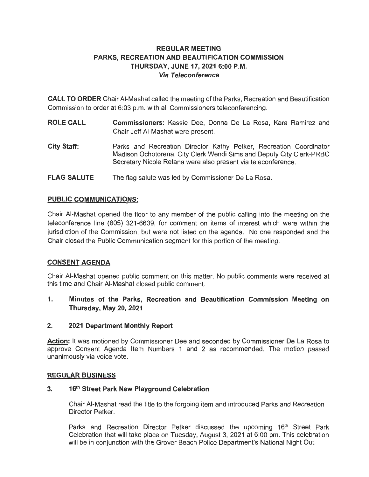# **REGULAR MEETING PARKS, RECREATION AND BEAUTIFICATION COMMISSION THURSDAY, JUNE 17, 2021 6:00 P.M. Via Teleconference**

**CALL TO ORDER** Chair AI-Mashat called the meeting of the Parks, Recreation and Beautification Commission to order at 6:03 p.m. with all Commissioners teleconferencing.

- **ROLE CALL Commissioners:** Kassie Dee, Donna De La Rosa, Kara Ramirez and Chair Jeff AI-Mashat were present.
- **City Staff:**  Parks and Recreation Director Kathy Petker, Recreation Coordinator Madison Ochotorena, City Clerk Wendi Sims and Deputy City Clerk-PRBC Secretary Nicole Retana were also present via teleconference.
- **FLAG SALUTE**  The flag salute was led by Commissioner De La Rosa.

# **PUBLIC COMMUNICATIONS:**

Chair AI-Mashat opened the floor to any member of the public calling into the meeting on the teleconference line (805) 321-6639, for comment on items of interest which were within the jurisdiction of the Commission, but were not listed on the agenda. No one responded and the Chair closed the Public Communication segment for this portion of the meeting.

# **CONSENT AGENDA**

Chair AI-Mashat opened public comment on this matter. No public comments were received at this time and Chair AI-Mashat closed public comment.

**1. Minutes of the Parks, Recreation and Beautification Commission Meeting on Thursday, May 20, 2021** 

# **2. 2021 Department Monthly Report**

Action: It was motioned by Commissioner Dee and seconded by Commissioner De La Rosa to approve Consent Agenda Item Numbers 1 and 2 as recommended. The motion passed unanimously via voice vote.

# **REGULAR BUSINESS**

# **3. 16th Street Park New Playground Celebration**

Chair AI-Mashat read the title to the forgoing item and introduced Parks and Recreation Director Petker.

Parks and Recreation Director Petker discussed the upcoming 16<sup>th</sup> Street Park Celebration that will take place on Tuesday, August 3, 2021 at 6:00 pm. This celebration will be in conjunction with the Grover Beach Police Department's National Night Out.